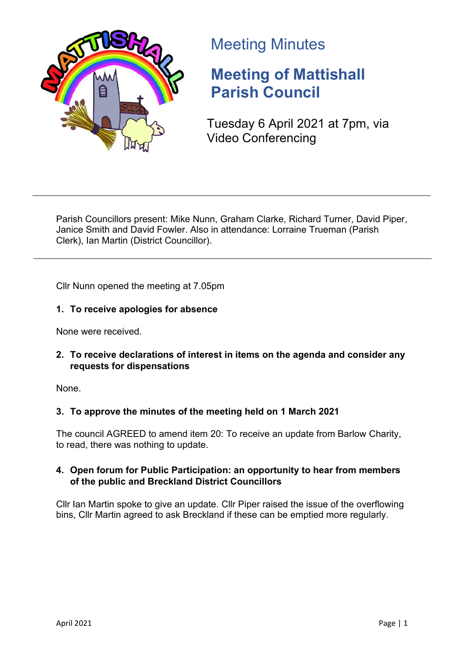

# Meeting Minutes

# **Meeting of Mattishall Parish Council**

Tuesday 6 April 2021 at 7pm, via Video Conferencing

Parish Councillors present: Mike Nunn, Graham Clarke, Richard Turner, David Piper, Janice Smith and David Fowler. Also in attendance: Lorraine Trueman (Parish Clerk), Ian Martin (District Councillor).

Cllr Nunn opened the meeting at 7.05pm

## **1. To receive apologies for absence**

None were received.

## **2. To receive declarations of interest in items on the agenda and consider any requests for dispensations**

None.

# **3. To approve the minutes of the meeting held on 1 March 2021**

The council AGREED to amend item 20: To receive an update from Barlow Charity, to read, there was nothing to update.

## **4. Open forum for Public Participation: an opportunity to hear from members of the public and Breckland District Councillors**

Cllr Ian Martin spoke to give an update. Cllr Piper raised the issue of the overflowing bins, Cllr Martin agreed to ask Breckland if these can be emptied more regularly.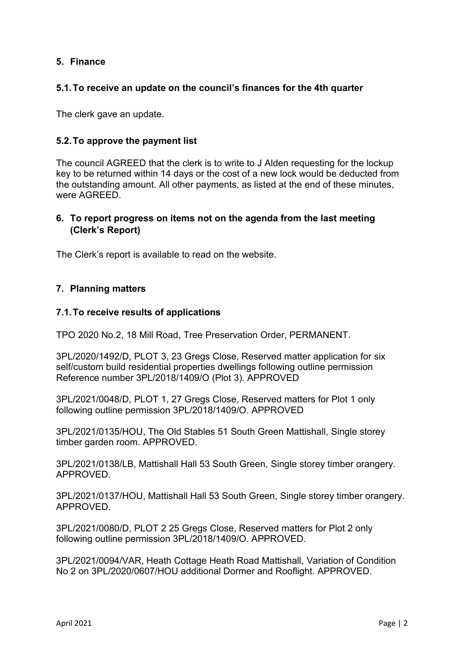### **5. Finance**

#### **5.1.To receive an update on the council's finances for the 4th quarter**

The clerk gave an update.

#### **5.2.To approve the payment list**

The council AGREED that the clerk is to write to J Alden requesting for the lockup key to be returned within 14 days or the cost of a new lock would be deducted from the outstanding amount. All other payments, as listed at the end of these minutes, were AGREED.

### **6. To report progress on items not on the agenda from the last meeting (Clerk's Report)**

The Clerk's report is available to read on the website.

#### **7. Planning matters**

#### **7.1.To receive results of applications**

TPO 2020 No.2, 18 Mill Road, Tree Preservation Order, PERMANENT.

3PL/2020/1492/D, PLOT 3, 23 Gregs Close, Reserved matter application for six self/custom build residential properties dwellings following outline permission Reference number 3PL/2018/1409/O (Plot 3). APPROVED

3PL/2021/0048/D, PLOT 1, 27 Gregs Close, Reserved matters for Plot 1 only following outline permission 3PL/2018/1409/O. APPROVED

3PL/2021/0135/HOU, The Old Stables 51 South Green Mattishall, Single storey timber garden room. APPROVED.

3PL/2021/0138/LB, Mattishall Hall 53 South Green, Single storey timber orangery. APPROVED.

3PL/2021/0137/HOU, Mattishall Hall 53 South Green, Single storey timber orangery. APPROVED.

3PL/2021/0080/D, PLOT 2 25 Gregs Close, Reserved matters for Plot 2 only following outline permission 3PL/2018/1409/O. APPROVED.

3PL/2021/0094/VAR, Heath Cottage Heath Road Mattishall, Variation of Condition No 2 on 3PL/2020/0607/HOU additional Dormer and Rooflight. APPROVED.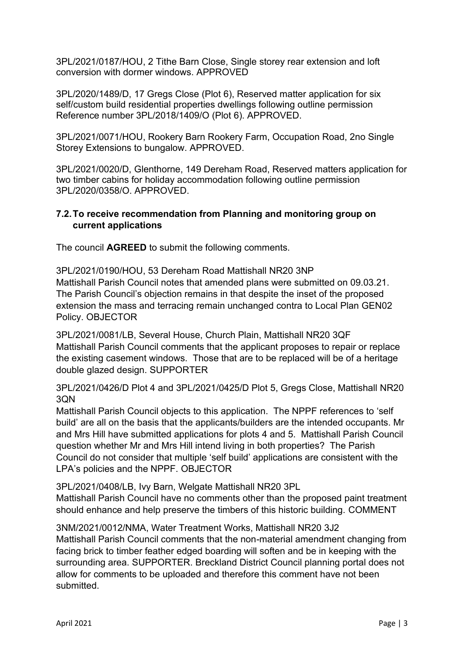3PL/2021/0187/HOU, 2 Tithe Barn Close, Single storey rear extension and loft conversion with dormer windows. APPROVED

3PL/2020/1489/D, 17 Gregs Close (Plot 6), Reserved matter application for six self/custom build residential properties dwellings following outline permission Reference number 3PL/2018/1409/O (Plot 6). APPROVED.

3PL/2021/0071/HOU, Rookery Barn Rookery Farm, Occupation Road, 2no Single Storey Extensions to bungalow. APPROVED.

3PL/2021/0020/D, Glenthorne, 149 Dereham Road, Reserved matters application for two timber cabins for holiday accommodation following outline permission 3PL/2020/0358/O. APPROVED.

#### **7.2.To receive recommendation from Planning and monitoring group on current applications**

The council **AGREED** to submit the following comments.

3PL/2021/0190/HOU, 53 Dereham Road Mattishall NR20 3NP Mattishall Parish Council notes that amended plans were submitted on 09.03.21. The Parish Council's objection remains in that despite the inset of the proposed extension the mass and terracing remain unchanged contra to Local Plan GEN02 Policy. OBJECTOR

3PL/2021/0081/LB, Several House, Church Plain, Mattishall NR20 3QF Mattishall Parish Council comments that the applicant proposes to repair or replace the existing casement windows. Those that are to be replaced will be of a heritage double glazed design. SUPPORTER

3PL/2021/0426/D Plot 4 and 3PL/2021/0425/D Plot 5, Gregs Close, Mattishall NR20 3QN

Mattishall Parish Council objects to this application. The NPPF references to 'self build' are all on the basis that the applicants/builders are the intended occupants. Mr and Mrs Hill have submitted applications for plots 4 and 5. Mattishall Parish Council question whether Mr and Mrs Hill intend living in both properties? The Parish Council do not consider that multiple 'self build' applications are consistent with the LPA's policies and the NPPF. OBJECTOR

3PL/2021/0408/LB, Ivy Barn, Welgate Mattishall NR20 3PL

Mattishall Parish Council have no comments other than the proposed paint treatment should enhance and help preserve the timbers of this historic building. COMMENT

3NM/2021/0012/NMA, Water Treatment Works, Mattishall NR20 3J2 Mattishall Parish Council comments that the non-material amendment changing from facing brick to timber feather edged boarding will soften and be in keeping with the surrounding area. SUPPORTER. Breckland District Council planning portal does not allow for comments to be uploaded and therefore this comment have not been submitted.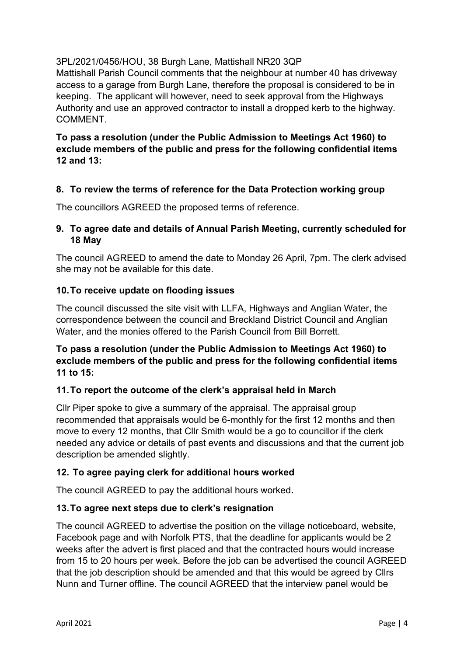## 3PL/2021/0456/HOU, 38 Burgh Lane, Mattishall NR20 3QP

Mattishall Parish Council comments that the neighbour at number 40 has driveway access to a garage from Burgh Lane, therefore the proposal is considered to be in keeping. The applicant will however, need to seek approval from the Highways Authority and use an approved contractor to install a dropped kerb to the highway. COMMENT.

## **To pass a resolution (under the Public Admission to Meetings Act 1960) to exclude members of the public and press for the following confidential items 12 and 13:**

## **8. To review the terms of reference for the Data Protection working group**

The councillors AGREED the proposed terms of reference.

## **9. To agree date and details of Annual Parish Meeting, currently scheduled for 18 May**

The council AGREED to amend the date to Monday 26 April, 7pm. The clerk advised she may not be available for this date.

### **10.To receive update on flooding issues**

The council discussed the site visit with LLFA, Highways and Anglian Water, the correspondence between the council and Breckland District Council and Anglian Water, and the monies offered to the Parish Council from Bill Borrett.

## **To pass a resolution (under the Public Admission to Meetings Act 1960) to exclude members of the public and press for the following confidential items 11 to 15:**

## **11.To report the outcome of the clerk's appraisal held in March**

Cllr Piper spoke to give a summary of the appraisal. The appraisal group recommended that appraisals would be 6-monthly for the first 12 months and then move to every 12 months, that Cllr Smith would be a go to councillor if the clerk needed any advice or details of past events and discussions and that the current job description be amended slightly.

## **12. To agree paying clerk for additional hours worked**

The council AGREED to pay the additional hours worked**.**

## **13.To agree next steps due to clerk's resignation**

The council AGREED to advertise the position on the village noticeboard, website, Facebook page and with Norfolk PTS, that the deadline for applicants would be 2 weeks after the advert is first placed and that the contracted hours would increase from 15 to 20 hours per week. Before the job can be advertised the council AGREED that the job description should be amended and that this would be agreed by Cllrs Nunn and Turner offline. The council AGREED that the interview panel would be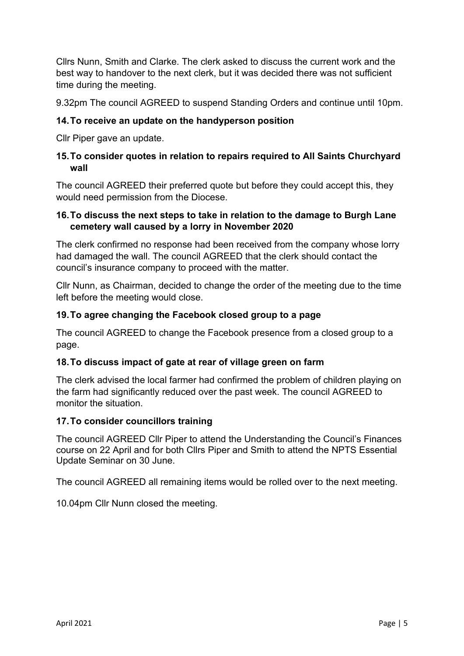Cllrs Nunn, Smith and Clarke. The clerk asked to discuss the current work and the best way to handover to the next clerk, but it was decided there was not sufficient time during the meeting.

9.32pm The council AGREED to suspend Standing Orders and continue until 10pm.

## **14.To receive an update on the handyperson position**

Cllr Piper gave an update.

## **15.To consider quotes in relation to repairs required to All Saints Churchyard wall**

The council AGREED their preferred quote but before they could accept this, they would need permission from the Diocese.

### **16.To discuss the next steps to take in relation to the damage to Burgh Lane cemetery wall caused by a lorry in November 2020**

The clerk confirmed no response had been received from the company whose lorry had damaged the wall. The council AGREED that the clerk should contact the council's insurance company to proceed with the matter.

Cllr Nunn, as Chairman, decided to change the order of the meeting due to the time left before the meeting would close.

### **19.To agree changing the Facebook closed group to a page**

The council AGREED to change the Facebook presence from a closed group to a page.

#### **18.To discuss impact of gate at rear of village green on farm**

The clerk advised the local farmer had confirmed the problem of children playing on the farm had significantly reduced over the past week. The council AGREED to monitor the situation.

#### **17.To consider councillors training**

The council AGREED Cllr Piper to attend the Understanding the Council's Finances course on 22 April and for both Cllrs Piper and Smith to attend the NPTS Essential Update Seminar on 30 June.

The council AGREED all remaining items would be rolled over to the next meeting.

10.04pm Cllr Nunn closed the meeting.